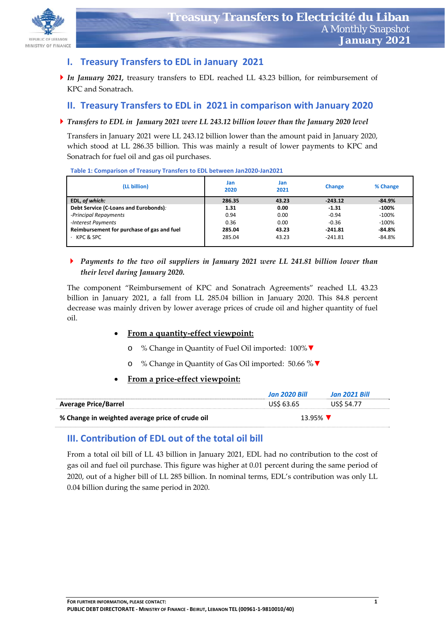

## **I. Treasury Transfers to EDL in January 2021**

*In January 2021,* treasury transfers to EDL reached LL 43.23 billion, for reimbursement of KPC and Sonatrach.

## **II. Treasury Transfers to EDL in 2021 in comparison with January 2020**

#### *Transfers to EDL in January 2021 were LL 243.12 billion lower than the January 2020 level*

Transfers in January 2021 were LL 243.12 billion lower than the amount paid in January 2020, which stood at LL 286.35 billion. This was mainly a result of lower payments to KPC and Sonatrach for fuel oil and gas oil purchases.

| (LL billion)                               | Jan<br>2020 | Jan<br>2021 | <b>Change</b> | % Change |
|--------------------------------------------|-------------|-------------|---------------|----------|
| EDL, of which:                             | 286.35      | 43.23       | $-243.12$     | $-84.9%$ |
| Debt Service (C-Loans and Eurobonds):      | 1.31        | 0.00        | $-1.31$       | -100%    |
| -Principal Repayments                      | 0.94        | 0.00        | $-0.94$       | $-100\%$ |
| -Interest Payments                         | 0.36        | 0.00        | $-0.36$       | $-100%$  |
| Reimbursement for purchase of gas and fuel | 285.04      | 43.23       | $-241.81$     | $-84.8%$ |
| $\cdot$ KPC & SPC                          | 285.04      | 43.23       | $-241.81$     | $-84.8%$ |

**Table 1: Comparison of Treasury Transfers to EDL between Jan2020‐Jan2021** 

 *Payments to the two oil suppliers in January 2021 were LL 241.81 billion lower than their level during January 2020.*

The component "Reimbursement of KPC and Sonatrach Agreements" reached LL 43.23 billion in January 2021, a fall from LL 285.04 billion in January 2020. This 84.8 percent decrease was mainly driven by lower average prices of crude oil and higher quantity of fuel oil.

### **From a quantity‐effect viewpoint:**

- o % Change in Quantity of Fuel Oil imported: 100%▼
- o % Change in Quantity of Gas Oil imported: 50.66 %▼

### **From a price‐effect viewpoint:**

|                                                 | <b>Jan 2020 Bill</b> | Jan 2021 Bill    |
|-------------------------------------------------|----------------------|------------------|
| <b>Average Price/Barrel</b>                     | US\$ 63.65           | <b>USS 54.77</b> |
| % Change in weighted average price of crude oil | 13.95%               |                  |

## **III. Contribution of EDL out of the total oil bill**

From a total oil bill of LL 43 billion in January 2021, EDL had no contribution to the cost of gas oil and fuel oil purchase. This figure was higher at 0.01 percent during the same period of 2020, out of a higher bill of LL 285 billion. In nominal terms, EDL's contribution was only LL 0.04 billion during the same period in 2020.